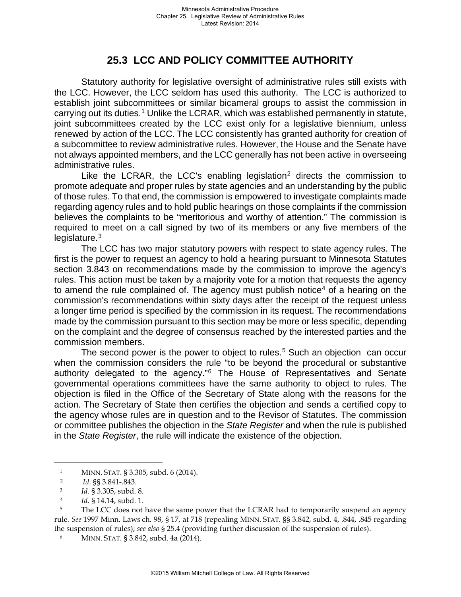## **25.3 LCC AND POLICY COMMITTEE AUTHORITY**

Statutory authority for legislative oversight of administrative rules still exists with the LCC. However, the LCC seldom has used this authority. The LCC is authorized to establish joint subcommittees or similar bicameral groups to assist the commission in carrying out its duties.<sup>[1](#page-0-0)</sup> Unlike the LCRAR, which was established permanently in statute, joint subcommittees created by the LCC exist only for a legislative biennium, unless renewed by action of the LCC. The LCC consistently has granted authority for creation of a subcommittee to review administrative rules. However, the House and the Senate have not always appointed members, and the LCC generally has not been active in overseeing administrative rules.

Like the LCRAR, the LCC's enabling legislation<sup>[2](#page-0-1)</sup> directs the commission to promote adequate and proper rules by state agencies and an understanding by the public of those rules. To that end, the commission is empowered to investigate complaints made regarding agency rules and to hold public hearings on those complaints if the commission believes the complaints to be "meritorious and worthy of attention." The commission is required to meet on a call signed by two of its members or any five members of the legislature.[3](#page-0-2)

The LCC has two major statutory powers with respect to state agency rules. The first is the power to request an agency to hold a hearing pursuant to Minnesota Statutes section 3.843 on recommendations made by the commission to improve the agency's rules. This action must be taken by a majority vote for a motion that requests the agency to amend the rule complained of. The agency must publish notice<sup>[4](#page-0-3)</sup> of a hearing on the commission's recommendations within sixty days after the receipt of the request unless a longer time period is specified by the commission in its request. The recommendations made by the commission pursuant to this section may be more or less specific, depending on the complaint and the degree of consensus reached by the interested parties and the commission members.

The second power is the power to object to rules.<sup>[5](#page-0-4)</sup> Such an objection can occur when the commission considers the rule "to be beyond the procedural or substantive authority delegated to the agency.["6](#page-0-5) The House of Representatives and Senate governmental operations committees have the same authority to object to rules. The objection is filed in the Office of the Secretary of State along with the reasons for the action. The Secretary of State then certifies the objection and sends a certified copy to the agency whose rules are in question and to the Revisor of Statutes. The commission or committee publishes the objection in the *State Register* and when the rule is published in the *State Register*, the rule will indicate the existence of the objection.

<span id="page-0-1"></span><span id="page-0-0"></span>÷,

 <sup>1</sup> MINN. STAT. § 3.305, subd. 6 (2014). 2 *Id*. §§ 3.841-.843.

<sup>3</sup> *Id.* § 3.305, subd. 8. 4 *Id.* § 14.14, subd. 1.

<span id="page-0-4"></span><span id="page-0-3"></span><span id="page-0-2"></span><sup>&</sup>lt;sup>5</sup> The LCC does not have the same power that the LCRAR had to temporarily suspend an agency rule*. See* 1997 Minn. Laws ch. 98, § 17, at 718 (repealing MINN. STAT. §§ 3.842, subd. 4, .844, .845 regarding the suspension of rules); *see also* § 25.4 (providing further discussion of the suspension of rules).

<span id="page-0-5"></span> <sup>6</sup> MINN. STAT. § 3.842, subd. 4a (2014).